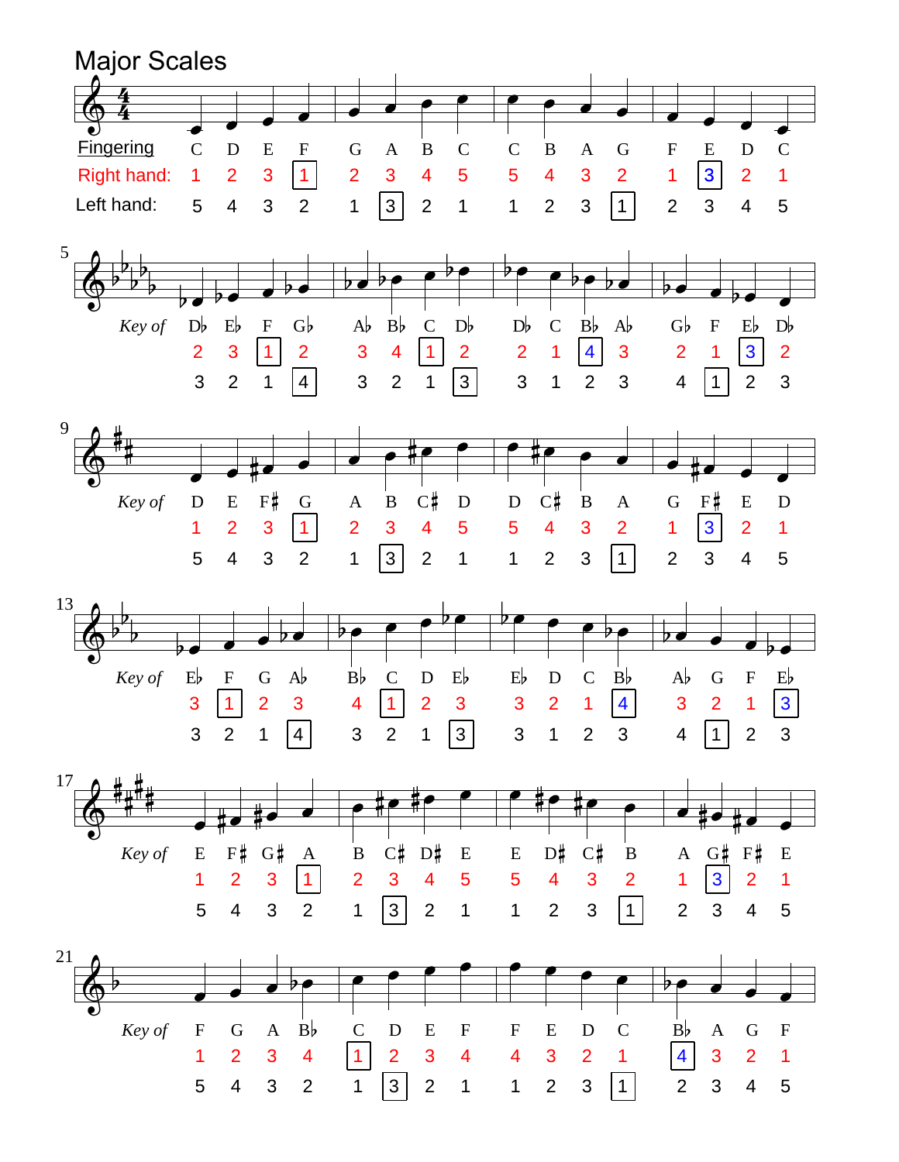